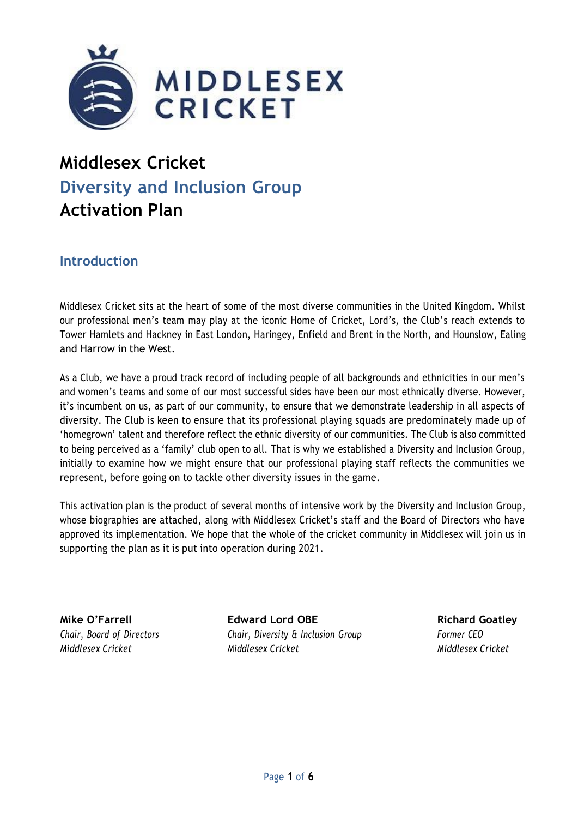

# **Middlesex Cricket Diversity and Inclusion Group Activation Plan**

# **Introduction**

Middlesex Cricket sits at the heart of some of the most diverse communities in the United Kingdom. Whilst our professional men's team may play at the iconic Home of Cricket, Lord's, the Club's reach extends to Tower Hamlets and Hackney in East London, Haringey, Enfield and Brent in the North, and Hounslow, Ealing and Harrow in the West.

As a Club, we have a proud track record of including people of all backgrounds and ethnicities in our men's and women's teams and some of our most successful sides have been our most ethnically diverse. However, it's incumbent on us, as part of our community, to ensure that we demonstrate leadership in all aspects of diversity. The Club is keen to ensure that its professional playing squads are predominately made up of 'homegrown' talent and therefore reflect the ethnic diversity of our communities. The Club is also committed to being perceived as a 'family' club open to all. That is why we established a Diversity and Inclusion Group, initially to examine how we might ensure that our professional playing staff reflects the communities we represent, before going on to tackle other diversity issues in the game.

This activation plan is the product of several months of intensive work by the Diversity and Inclusion Group, whose biographies are attached, along with Middlesex Cricket's staff and the Board of Directors who have approved its implementation. We hope that the whole of the cricket community in Middlesex will join us in supporting the plan as it is put into operation during 2021.

**Mike O'Farrell Edward Lord OBE Richard Goatley** *Chair, Board of Directors Chair, Diversity & Inclusion Group Former CEO Middlesex Cricket Middlesex Cricket Middlesex Cricket*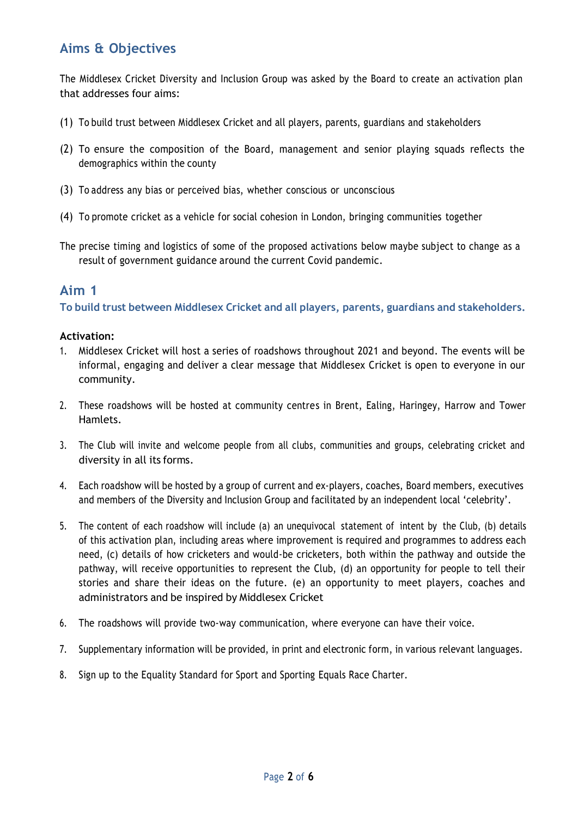# **Aims & Objectives**

The Middlesex Cricket Diversity and Inclusion Group was asked by the Board to create an activation plan that addresses four aims:

- (1) To build trust between Middlesex Cricket and all players, parents, guardians and stakeholders
- (2) To ensure the composition of the Board, management and senior playing squads reflects the demographics within the county
- (3) To address any bias or perceived bias, whether conscious or unconscious
- (4) To promote cricket as a vehicle for social cohesion in London, bringing communities together
- The precise timing and logistics of some of the proposed activations below maybe subject to change as a result of government guidance around the current Covid pandemic.

# **Aim 1**

**To build trust between Middlesex Cricket and all players, parents, guardians and stakeholders.**

#### **Activation:**

- 1. Middlesex Cricket will host a series of roadshows throughout 2021 and beyond. The events will be informal, engaging and deliver a clear message that Middlesex Cricket is open to everyone in our community.
- 2. These roadshows will be hosted at community centres in Brent, Ealing, Haringey, Harrow and Tower Hamlets.
- 3. The Club will invite and welcome people from all clubs, communities and groups, celebrating cricket and diversity in all its forms.
- 4. Each roadshow will be hosted by a group of current and ex-players, coaches, Board members, executives and members of the Diversity and Inclusion Group and facilitated by an independent local 'celebrity'.
- 5. The content of each roadshow will include (a) an unequivocal statement of intent by the Club, (b) details of this activation plan, including areas where improvement is required and programmes to address each need, (c) details of how cricketers and would-be cricketers, both within the pathway and outside the pathway, will receive opportunities to represent the Club, (d) an opportunity for people to tell their stories and share their ideas on the future. (e) an opportunity to meet players, coaches and administrators and be inspired by Middlesex Cricket
- 6. The roadshows will provide two-way communication, where everyone can have their voice.
- 7. Supplementary information will be provided, in print and electronic form, in various relevant languages.
- 8. Sign up to the Equality Standard for Sport and Sporting Equals Race Charter.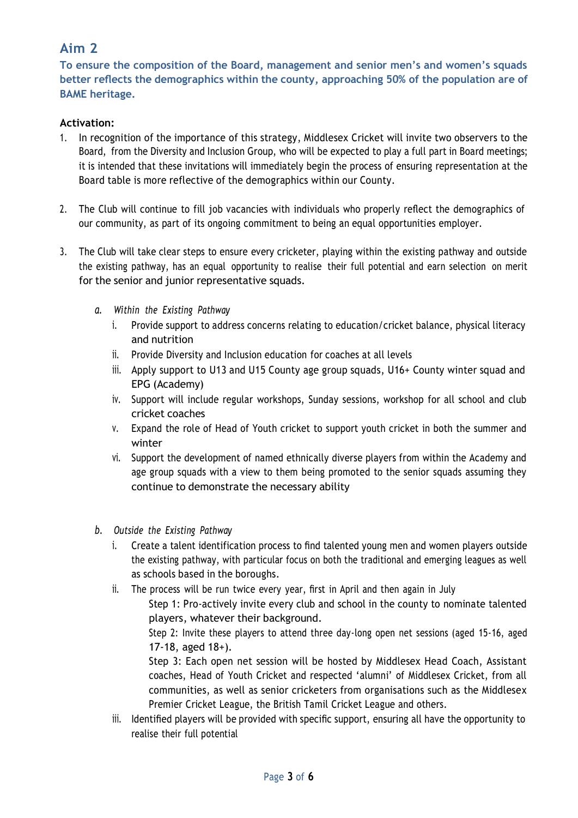# **Aim 2**

**To ensure the composition of the Board, management and senior men's and women's squads better reflects the demographics within the county, approaching 50% of the population are of BAME heritage.**

## **Activation:**

- 1. In recognition of the importance of this strategy, Middlesex Cricket will invite two observers to the Board, from the Diversity and Inclusion Group, who will be expected to play a full part in Board meetings; it is intended that these invitations will immediately begin the process of ensuring representation at the Board table is more reflective of the demographics within our County.
- 2. The Club will continue to fill job vacancies with individuals who properly reflect the demographics of our community, as part of its ongoing commitment to being an equal opportunities employer.
- 3. The Club will take clear steps to ensure every cricketer, playing within the existing pathway and outside the existing pathway, has an equal opportunity to realise their full potential and earn selection on merit for the senior and junior representative squads.
	- *a. Within the Existing Pathway*
		- i. Provide support to address concerns relating to education/cricket balance, physical literacy and nutrition
		- ii. Provide Diversity and Inclusion education for coaches at all levels
		- iii. Apply support to U13 and U15 County age group squads, U16+ County winter squad and EPG (Academy)
		- iv. Support will include regular workshops, Sunday sessions, workshop for all school and club cricket coaches
		- v. Expand the role of Head of Youth cricket to support youth cricket in both the summer and winter
		- vi. Support the development of named ethnically diverse players from within the Academy and age group squads with a view to them being promoted to the senior squads assuming they continue to demonstrate the necessary ability
	- *b. Outside the Existing Pathway*
		- i. Create a talent identification process to find talented young men and women players outside the existing pathway, with particular focus on both the traditional and emerging leagues as well as schools based in the boroughs.
		- ii. The process will be run twice every year, first in April and then again in July

Step 1: Pro-actively invite every club and school in the county to nominate talented players, whatever their background.

Step 2: Invite these players to attend three day-long open net sessions (aged 15-16, aged 17-18, aged  $18+$ ).

Step 3: Each open net session will be hosted by Middlesex Head Coach, Assistant coaches, Head of Youth Cricket and respected 'alumni' of Middlesex Cricket, from all communities, as well as senior cricketers from organisations such as the Middlesex Premier Cricket League, the British Tamil Cricket League and others.

iii. Identified players will be provided with specific support, ensuring all have the opportunity to realise their full potential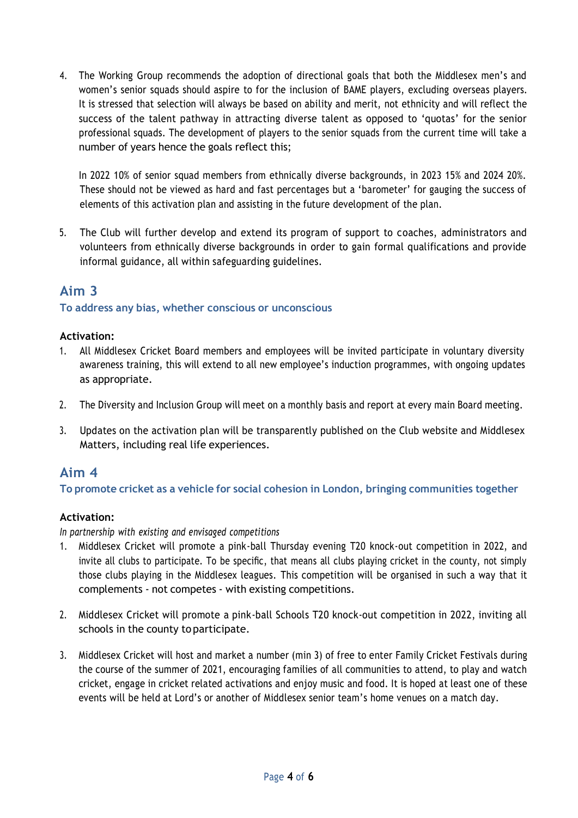4. The Working Group recommends the adoption of directional goals that both the Middlesex men's and women's senior squads should aspire to for the inclusion of BAME players, excluding overseas players. It is stressed that selection will always be based on ability and merit, not ethnicity and will reflect the success of the talent pathway in attracting diverse talent as opposed to 'quotas' for the senior professional squads. The development of players to the senior squads from the current time will take a number of years hence the goals reflect this;

In 2022 10% of senior squad members from ethnically diverse backgrounds, in 2023 15% and 2024 20%. These should not be viewed as hard and fast percentages but a 'barometer' for gauging the success of elements of this activation plan and assisting in the future development of the plan.

5. The Club will further develop and extend its program of support to coaches, administrators and volunteers from ethnically diverse backgrounds in order to gain formal qualifications and provide informal guidance, all within safeguarding guidelines.

# **Aim 3**

## **To address any bias, whether conscious or unconscious**

## **Activation:**

- 1. All Middlesex Cricket Board members and employees will be invited participate in voluntary diversity awareness training, this will extend to all new employee's induction programmes, with ongoing updates as appropriate.
- 2. The Diversity and Inclusion Group will meet on a monthly basis and report at every main Board meeting.
- 3. Updates on the activation plan will be transparently published on the Club website and Middlesex Matters, including real life experiences.

# **Aim 4**

**To promote cricket as a vehicle for social cohesion in London, bringing communities together**

## **Activation:**

*In partnership with existing and envisaged competitions*

- 1. Middlesex Cricket will promote a pink-ball Thursday evening T20 knock-out competition in 2022, and invite all clubs to participate. To be specific, that means all clubs playing cricket in the county, not simply those clubs playing in the Middlesex leagues. This competition will be organised in such a way that it complements - not competes - with existing competitions.
- 2. Middlesex Cricket will promote a pink-ball Schools T20 knock-out competition in 2022, inviting all schools in the county to participate.
- 3. Middlesex Cricket will host and market a number (min 3) of free to enter Family Cricket Festivals during the course of the summer of 2021, encouraging families of all communities to attend, to play and watch cricket, engage in cricket related activations and enjoy music and food. It is hoped at least one of these events will be held at Lord's or another of Middlesex senior team's home venues on a match day.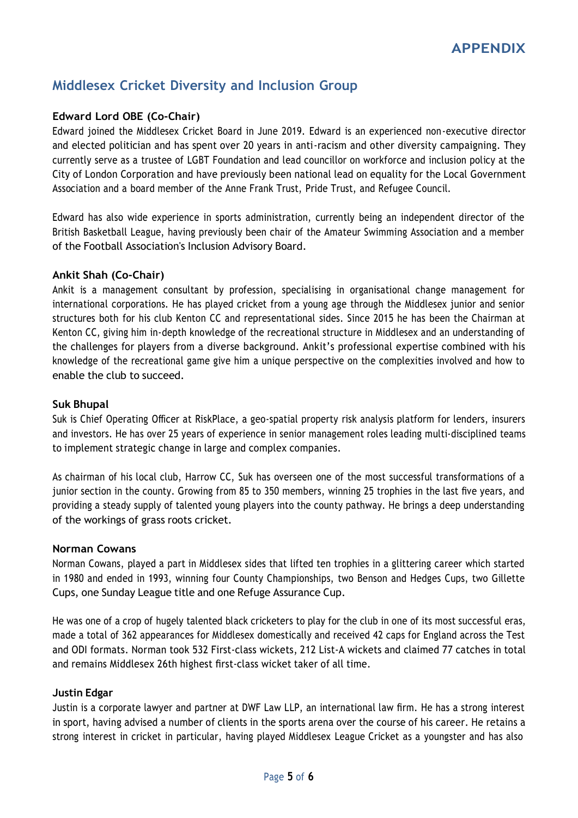# **Middlesex Cricket Diversity and Inclusion Group**

# **Edward Lord OBE (Co-Chair)**

Edward joined the Middlesex Cricket Board in June 2019. Edward is an experienced non-executive director and elected politician and has spent over 20 years in anti-racism and other diversity campaigning. They currently serve as a trustee of LGBT Foundation and lead councillor on workforce and inclusion policy at the City of London Corporation and have previously been national lead on equality for the Local Government Association and a board member of the Anne Frank Trust, Pride Trust, and Refugee Council.

Edward has also wide experience in sports administration, currently being an independent director of the British Basketball League, having previously been chair of the Amateur Swimming Association and a member of the Football Association's Inclusion Advisory Board.

## **Ankit Shah (Co-Chair)**

Ankit is a management consultant by profession, specialising in organisational change management for international corporations. He has played cricket from a young age through the Middlesex junior and senior structures both for his club Kenton CC and representational sides. Since 2015 he has been the Chairman at Kenton CC, giving him in-depth knowledge of the recreational structure in Middlesex and an understanding of the challenges for players from a diverse background. Ankit's professional expertise combined with his knowledge of the recreational game give him a unique perspective on the complexities involved and how to enable the club to succeed.

#### **Suk Bhupal**

Suk is Chief Operating Officer at RiskPlace, a geo-spatial property risk analysis platform for lenders, insurers and investors. He has over 25 years of experience in senior management roles leading multi-disciplined teams to implement strategic change in large and complex companies.

As chairman of his local club, Harrow CC, Suk has overseen one of the most successful transformations of a junior section in the county. Growing from 85 to 350 members, winning 25 trophies in the last five years, and providing a steady supply of talented young players into the county pathway. He brings a deep understanding of the workings of grass roots cricket.

#### **Norman Cowans**

Norman Cowans, played a part in Middlesex sides that lifted ten trophies in a glittering career which started in 1980 and ended in 1993, winning four County Championships, two Benson and Hedges Cups, two Gillette Cups, one Sunday League title and one Refuge Assurance Cup.

He was one of a crop of hugely talented black cricketers to play for the club in one of its most successful eras, made a total of 362 appearances for Middlesex domestically and received 42 caps for England across the Test and ODI formats. Norman took 532 First-class wickets, 212 List-A wickets and claimed 77 catches in total and remains Middlesex 26th highest first-class wicket taker of all time.

#### **Justin Edgar**

Justin is a corporate lawyer and partner at DWF Law LLP, an international law firm. He has a strong interest in sport, having advised a number of clients in the sports arena over the course of his career. He retains a strong interest in cricket in particular, having played Middlesex League Cricket as a youngster and has also